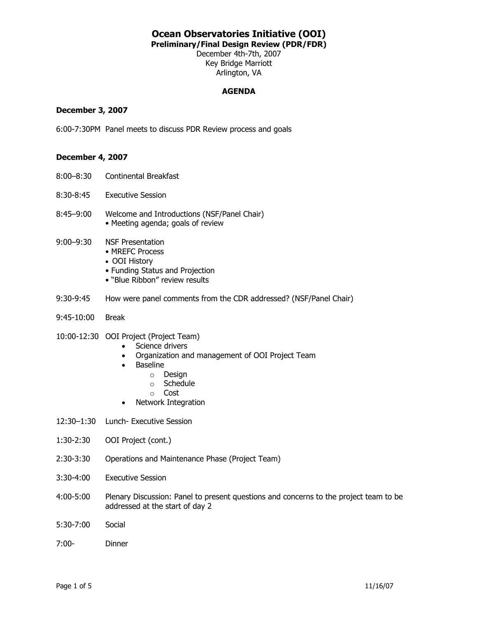**Preliminary/Final Design Review (PDR/FDR)** 

December 4th-7th, 2007 Key Bridge Marriott Arlington, VA

### **AGENDA**

### **December 3, 2007**

6:00-7:30PM Panel meets to discuss PDR Review process and goals

### **December 4, 2007**

- 8:00–8:30 Continental Breakfast
- 8:30-8:45 Executive Session
- 8:45–9:00 Welcome and Introductions (NSF/Panel Chair) • Meeting agenda; goals of review
- 9:00–9:30 NSF Presentation
	- MREFC Process
	- OOI History
	- Funding Status and Projection
	- "Blue Ribbon" review results
- 9:30-9:45 How were panel comments from the CDR addressed? (NSF/Panel Chair)
- 9:45-10:00 Break

#### 10:00-12:30 OOI Project (Project Team)

- Science drivers
- Organization and management of OOI Project Team
- Baseline
	- o Design
	- o Schedule
	- o Cost
- Network Integration
- 12:30–1:30 Lunch- Executive Session
- 1:30-2:30 OOI Project (cont.)
- 2:30-3:30 Operations and Maintenance Phase (Project Team)
- 3:30-4:00 Executive Session
- 4:00-5:00 Plenary Discussion: Panel to present questions and concerns to the project team to be addressed at the start of day 2
- 5:30-7:00 Social
- 7:00- Dinner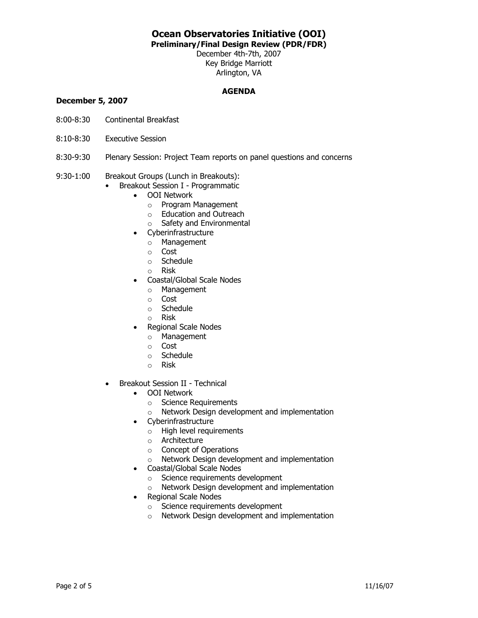**Preliminary/Final Design Review (PDR/FDR)** 

December 4th-7th, 2007 Key Bridge Marriott Arlington, VA

### **AGENDA**

### **December 5, 2007**

- 8:00-8:30 Continental Breakfast
- 8:10-8:30 Executive Session
- 8:30-9:30 Plenary Session: Project Team reports on panel questions and concerns
- 9:30-1:00 Breakout Groups (Lunch in Breakouts):
	- Breakout Session I Programmatic
		- OOI Network
			- o Program Management
			- o Education and Outreach
			- o Safety and Environmental
		- Cyberinfrastructure
			- o Management
			- o Cost
			- o Schedule
			- o Risk
		- Coastal/Global Scale Nodes
			- o Management
			- o Cost
			- o Schedule
			- o Risk
		- Regional Scale Nodes
			- o Management
			- o Cost
			- o Schedule
			- o Risk
	- Breakout Session II Technical
		- OOI Network
			- o Science Requirements
			- o Network Design development and implementation
		- Cyberinfrastructure
			- o High level requirements
			- o Architecture
			- o Concept of Operations
			- o Network Design development and implementation
		- Coastal/Global Scale Nodes
			- o Science requirements development
			- o Network Design development and implementation
		- Regional Scale Nodes
			- o Science requirements development
			- o Network Design development and implementation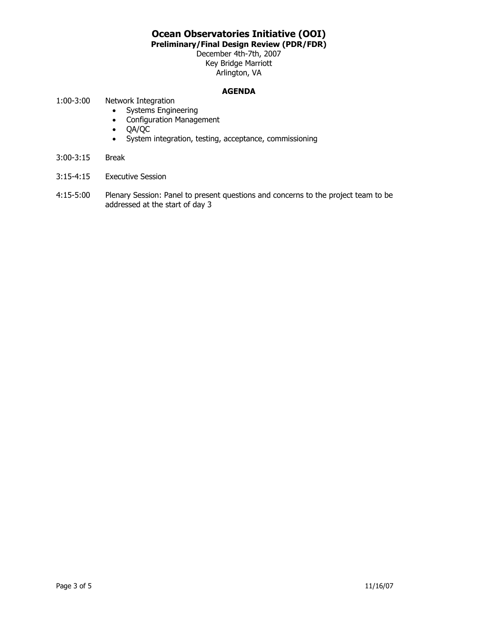**Preliminary/Final Design Review (PDR/FDR)** 

December 4th-7th, 2007 Key Bridge Marriott Arlington, VA

### **AGENDA**

- 1:00-3:00 Network Integration
	- Systems Engineering
	- Configuration Management
	- QA/QC
	- System integration, testing, acceptance, commissioning
- 3:00-3:15 Break
- 3:15-4:15 Executive Session
- 4:15-5:00 Plenary Session: Panel to present questions and concerns to the project team to be addressed at the start of day 3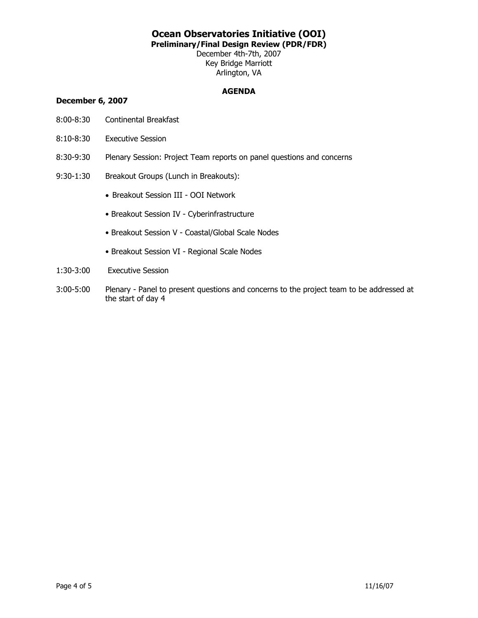**Preliminary/Final Design Review (PDR/FDR)** 

December 4th-7th, 2007 Key Bridge Marriott Arlington, VA

### **AGENDA**

### **December 6, 2007**

- 8:00-8:30 Continental Breakfast
- 8:10-8:30 Executive Session
- 8:30-9:30 Plenary Session: Project Team reports on panel questions and concerns
- 9:30-1:30 Breakout Groups (Lunch in Breakouts):
	- Breakout Session III OOI Network
	- Breakout Session IV Cyberinfrastructure
	- Breakout Session V Coastal/Global Scale Nodes
	- Breakout Session VI Regional Scale Nodes
- 1:30-3:00 Executive Session
- 3:00-5:00 Plenary Panel to present questions and concerns to the project team to be addressed at the start of day 4